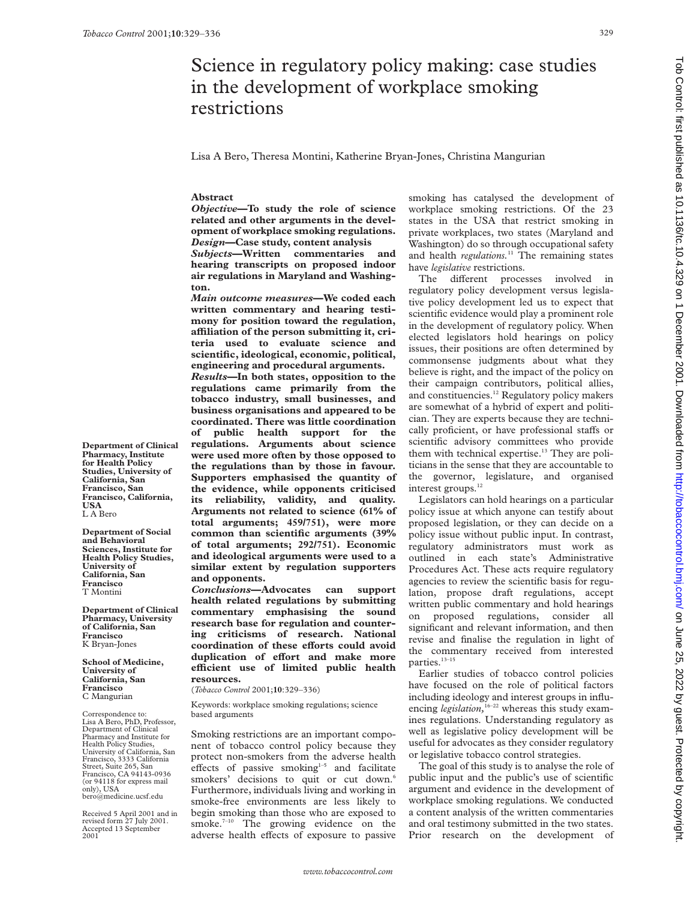# Science in regulatory policy making: case studies in the development of workplace smoking restrictions

Lisa A Bero, Theresa Montini, Katherine Bryan-Jones, Christina Mangurian

## **Abstract**

*Objective***—To study the role of science related and other arguments in the development of workplace smoking regulations.** *Design***—Case study, content analysis**

*Subjects***—Written commentaries and hearing transcripts on proposed indoor air regulations in Maryland and Washington.**

*Main outcome measures***—We coded each written commentary and hearing testimony for position toward the regulation, aYliation of the person submitting it, criteria used to evaluate science and scientific, ideological, economic, political, engineering and procedural arguments.** *Results***—In both states, opposition to the regulations came primarily from the tobacco industry, small businesses, and business organisations and appeared to be coordinated. There was little coordination of public health support for the regulations. Arguments about science were used more often by those opposed to the regulations than by those in favour. Supporters emphasised the quantity of the evidence, while opponents criticised its reliability, validity, and quality. Arguments not related to science (61% of total arguments; 459/751), were more common than scientific arguments (39% of total arguments; 292/751). Economic and ideological arguments were used to a similar extent by regulation supporters and opponents.**

*Conclusions***—Advocates can support health related regulations by submitting commentary emphasising the sound research base for regulation and countering criticisms of research. National** coordination of these efforts could avoid duplication of effort and make more **eYcient use of limited public health resources.**

(*Tobacco Control* 2001;**10**:329–336)

Keywords: workplace smoking regulations; science based arguments

Smoking restrictions are an important component of tobacco control policy because they protect non-smokers from the adverse health effects of passive smoking $1-5$  and facilitate smokers' decisions to quit or cut down.<sup>6</sup> Furthermore, individuals living and working in smoke-free environments are less likely to begin smoking than those who are exposed to smoke.<sup>7-10</sup> The growing evidence on the adverse health effects of exposure to passive

smoking has catalysed the development of workplace smoking restrictions. Of the 23 states in the USA that restrict smoking in private workplaces, two states (Maryland and Washington) do so through occupational safety and health *regulations.*<sup>11</sup> The remaining states have *legislative* restrictions.

The different processes involved in regulatory policy development versus legislative policy development led us to expect that scientific evidence would play a prominent role in the development of regulatory policy. When elected legislators hold hearings on policy issues, their positions are often determined by commonsense judgments about what they believe is right, and the impact of the policy on their campaign contributors, political allies, and constituencies.<sup>12</sup> Regulatory policy makers are somewhat of a hybrid of expert and politician. They are experts because they are technically proficient, or have professional staffs or scientific advisory committees who provide them with technical expertise.<sup>13</sup> They are politicians in the sense that they are accountable to the governor, legislature, and organised interest groups.<sup>12</sup>

Legislators can hold hearings on a particular policy issue at which anyone can testify about proposed legislation, or they can decide on a policy issue without public input. In contrast, regulatory administrators must work as outlined in each state's Administrative Procedures Act. These acts require regulatory agencies to review the scientific basis for regulation, propose draft regulations, accept written public commentary and hold hearings on proposed regulations, consider all significant and relevant information, and then revise and finalise the regulation in light of the commentary received from interested parties.<sup>13-15</sup>

Earlier studies of tobacco control policies have focused on the role of political factors including ideology and interest groups in influencing *legislation*,<sup>16-22</sup> whereas this study examines regulations. Understanding regulatory as well as legislative policy development will be useful for advocates as they consider regulatory or legislative tobacco control strategies.

The goal of this study is to analyse the role of public input and the public's use of scientific argument and evidence in the development of workplace smoking regulations. We conducted a content analysis of the written commentaries and oral testimony submitted in the two states. Prior research on the development of

**Department of Clinical Pharmacy, Institute for Health Policy Studies, University of California, San Francisco, San Francisco, California, USA** L A Bero

**Department of Social and Behavioral Sciences, Institute for Health Policy Studies, University of California, San Francisco** T Montini

**Department of Clinical Pharmacy, University of California, San Francisco** K Bryan-Jones

**School of Medicine, University of California, San Francisco** C Mangurian

Correspondence to: Lisa A Bero, PhD, Professor, Department of Clinical Pharmacy and Institute for Health Policy Studies, University of California, San Francisco, 3333 California Street, Suite 265, San Francisco, CA 94143-0936 (or 94118 for express mail only), USA bero@medicine.ucsf.edu

Received 5 April 2001 and in revised form 27 July 2001. Accepted 13 September 2001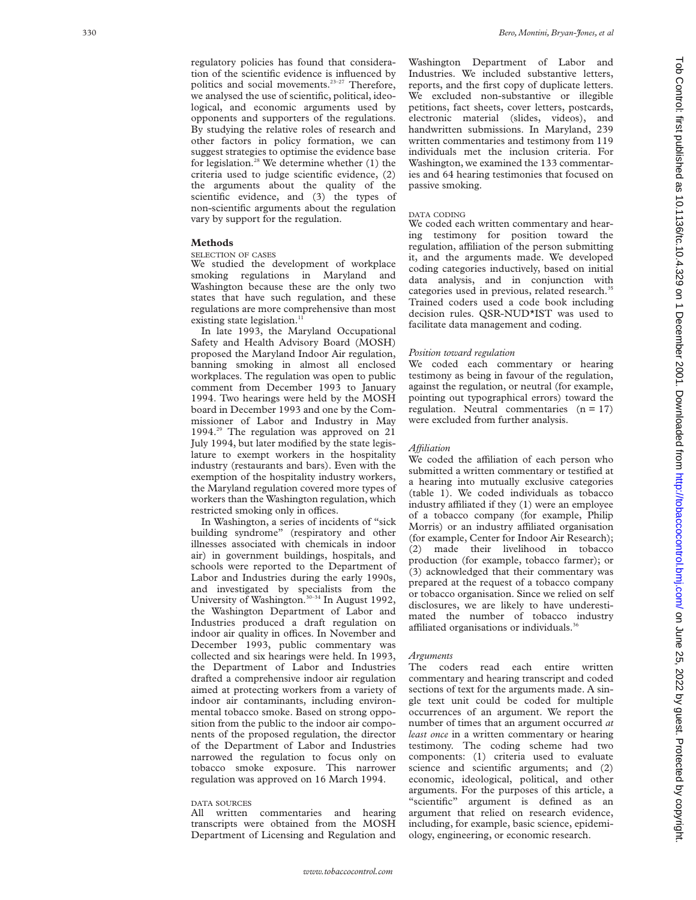regulatory policies has found that consideration of the scientific evidence is influenced by politics and social movements.<sup>23-27</sup> Therefore, we analysed the use of scientific, political, ideological, and economic arguments used by opponents and supporters of the regulations. By studying the relative roles of research and other factors in policy formation, we can suggest strategies to optimise the evidence base for legislation.<sup>28</sup> We determine whether (1) the criteria used to judge scientific evidence, (2) the arguments about the quality of the scientific evidence, and (3) the types of non-scientific arguments about the regulation vary by support for the regulation.

#### **Methods**

#### SELECTION OF CASES

We studied the development of workplace smoking regulations in Maryland and Washington because these are the only two states that have such regulation, and these regulations are more comprehensive than most existing state legislation.<sup>11</sup>

In late 1993, the Maryland Occupational Safety and Health Advisory Board (MOSH) proposed the Maryland Indoor Air regulation, banning smoking in almost all enclosed workplaces. The regulation was open to public comment from December 1993 to January 1994. Two hearings were held by the MOSH board in December 1993 and one by the Commissioner of Labor and Industry in May 1994.<sup>29</sup> The regulation was approved on 21 July 1994, but later modified by the state legislature to exempt workers in the hospitality industry (restaurants and bars). Even with the exemption of the hospitality industry workers, the Maryland regulation covered more types of workers than the Washington regulation, which restricted smoking only in offices.

In Washington, a series of incidents of "sick building syndrome" (respiratory and other illnesses associated with chemicals in indoor air) in government buildings, hospitals, and schools were reported to the Department of Labor and Industries during the early 1990s, and investigated by specialists from the University of Washington.<sup>30-34</sup> In August 1992, the Washington Department of Labor and Industries produced a draft regulation on indoor air quality in offices. In November and December 1993, public commentary was collected and six hearings were held. In 1993, the Department of Labor and Industries drafted a comprehensive indoor air regulation aimed at protecting workers from a variety of indoor air contaminants, including environmental tobacco smoke. Based on strong opposition from the public to the indoor air components of the proposed regulation, the director of the Department of Labor and Industries narrowed the regulation to focus only on tobacco smoke exposure. This narrower regulation was approved on 16 March 1994.

## DATA SOURCES

All written commentaries and hearing transcripts were obtained from the MOSH Department of Licensing and Regulation and Washington Department of Labor and Industries. We included substantive letters, reports, and the first copy of duplicate letters. We excluded non-substantive or illegible petitions, fact sheets, cover letters, postcards, electronic material (slides, videos), and handwritten submissions. In Maryland, 239 written commentaries and testimony from 119 individuals met the inclusion criteria. For Washington, we examined the 133 commentaries and 64 hearing testimonies that focused on passive smoking.

## DATA CODING

We coded each written commentary and hearing testimony for position toward the regulation, affiliation of the person submitting it, and the arguments made. We developed coding categories inductively, based on initial data analysis, and in conjunction with categories used in previous, related research.<sup>35</sup> Trained coders used a code book including decision rules. QSR-NUD\*IST was used to facilitate data management and coding.

## *Position toward regulation*

We coded each commentary or hearing testimony as being in favour of the regulation, against the regulation, or neutral (for example, pointing out typographical errors) toward the regulation. Neutral commentaries  $(n = 17)$ were excluded from further analysis.

#### *AYliation*

We coded the affiliation of each person who submitted a written commentary or testified at a hearing into mutually exclusive categories (table 1). We coded individuals as tobacco industry affiliated if they (1) were an employee of a tobacco company (for example, Philip Morris) or an industry affiliated organisation (for example, Center for Indoor Air Research); (2) made their livelihood in tobacco production (for example, tobacco farmer); or (3) acknowledged that their commentary was prepared at the request of a tobacco company or tobacco organisation. Since we relied on self disclosures, we are likely to have underestimated the number of tobacco industry affiliated organisations or individuals.<sup>36</sup>

## *Arguments*

The coders read each entire written commentary and hearing transcript and coded sections of text for the arguments made. A single text unit could be coded for multiple occurrences of an argument. We report the number of times that an argument occurred *at least once* in a written commentary or hearing testimony. The coding scheme had two components: (1) criteria used to evaluate science and scientific arguments; and (2) economic, ideological, political, and other arguments. For the purposes of this article, a "scientific" argument is defined as an argument that relied on research evidence, including, for example, basic science, epidemiology, engineering, or economic research.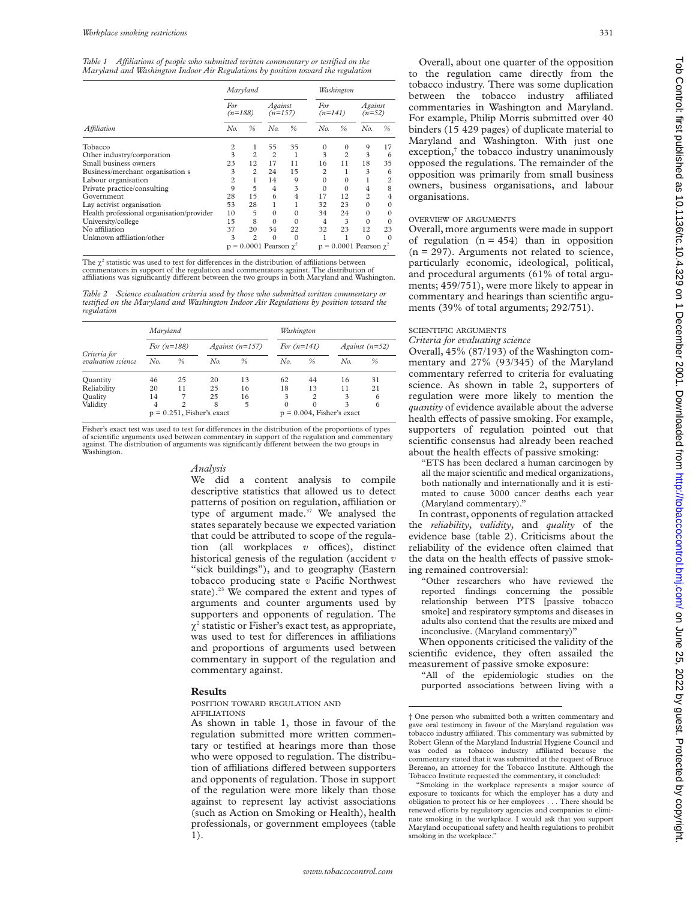*Table 1 AYliations of people who submitted written commentary or testified on the Maryland and Washington Indoor Air Regulations by position toward the regulation*

|                                           | Maryland                      |                |                      |          | Washington                      |                |                     |                |
|-------------------------------------------|-------------------------------|----------------|----------------------|----------|---------------------------------|----------------|---------------------|----------------|
|                                           | For<br>$(n=188)$              |                | Against<br>$(n=157)$ |          | For<br>$(n=141)$                |                | Against<br>$(n=52)$ |                |
| Affiliation                               | No.                           | $\frac{0}{0}$  | No.                  | $\%$     | No.                             | $\frac{0}{0}$  | No.                 | $\%$           |
| Tobacco                                   | 2                             |                | 55                   | 35       | $\mathbf{0}$                    | $\Omega$       | 9                   | 17             |
| Other industry/corporation                | 3                             | 2              | $\overline{2}$       |          | 3                               | $\overline{c}$ | 3                   | 6              |
| Small business owners                     | 23                            | 12             | 17                   | 11       | 16                              | 11             | 18                  | 35             |
| Business/merchant organisation s          | 3                             | $\overline{c}$ | 24                   | 15       | 2                               |                | 3                   | 6              |
| Labour organisation                       | $\overline{2}$                |                | 14                   | 9        | $\Omega$                        | $\Omega$       |                     | $\overline{c}$ |
| Private practice/consulting               | 9                             | 5              | $\overline{4}$       | 3        | $\Omega$                        | $\Omega$       | 4                   | 8              |
| Government                                | 28                            | 15             | 6                    | 4        | 17                              | 12             | 2                   | $\overline{4}$ |
| Lay activist organisation                 | 53                            | 28             |                      |          | 32                              | 23             | $\Omega$            | $\Omega$       |
| Health professional organisation/provider | 10                            | 5              | $\Omega$             | $\Omega$ | 34                              | 24             | $\Omega$            | $\Omega$       |
| University/college                        | 15                            | 8              | $\Omega$             | $\Omega$ | $\overline{4}$                  | 3              | $\Omega$            | 0              |
| No affiliation                            | 37                            | 20             | 34                   | 22       | 32                              | 23             | 12                  | 23             |
| Unknown affiliation/other                 | 3                             | $\overline{c}$ | $\Omega$             | $\Omega$ |                                 |                | $\Omega$            | $\Omega$       |
|                                           | $p = 0.0001$ Pearson $\chi^2$ |                |                      |          | $p = 0.0001$ Pearson $\gamma^2$ |                |                     |                |

The  $\chi^2$  statistic was used to test for differences in the distribution of affiliations between commentators in support of the regulation and commentators against. The distribution of<br>affiliations was significantly different between the two groups in both Maryland and Washington.

*Table 2 Science evaluation criteria used by those who submitted written commentary or testified on the Maryland and Washington Indoor Air Regulations by position toward the regulation*

|                                    | Maryland                     |                |     |                   | Washington                   |                |     |                 |  |
|------------------------------------|------------------------------|----------------|-----|-------------------|------------------------------|----------------|-----|-----------------|--|
|                                    | For $(n=188)$                |                |     | $Again$ t (n=157) |                              | For $(n=141)$  |     | $Against(n=52)$ |  |
| Criteria for<br>evaluation science | No.                          | $\frac{0}{0}$  | No. | $\frac{0}{0}$     | No.                          | $\frac{9}{6}$  | No. | $\%$            |  |
| Quantity                           | 46                           | 25             | 20  | 13                | 62                           | 44             | 16  | 31              |  |
| Reliability                        | 20                           | 11             | 25  | 16                | 18                           | 13             | 11  | 21              |  |
| Ouality                            | 14                           | 7              | 25  | 16                | 3                            | $\overline{c}$ | 3   | 6               |  |
| Validity                           | 4                            | $\overline{c}$ | 8   | 5                 | $\Omega$                     | $\Omega$       | 3   | 6               |  |
|                                    | $p = 0.251$ , Fisher's exact |                |     |                   | $p = 0.004$ , Fisher's exact |                |     |                 |  |

Fisher's exact test was used to test for differences in the distribution of the proportions of types of scientific arguments used between commentary in support of the regulation and commentary against. The distribution of arguments was significantly different between the two groups in Washington.

*Analysis*

We did a content analysis to compile descriptive statistics that allowed us to detect patterns of position on regulation, affiliation or type of argument made.<sup>37</sup> We analysed the states separately because we expected variation that could be attributed to scope of the regulation (all workplaces  $v$  offices), distinct historical genesis of the regulation (accident *v* "sick buildings"), and to geography (Eastern tobacco producing state *v* Pacific Northwest state).<sup>23</sup> We compared the extent and types of arguments and counter arguments used by supporters and opponents of regulation. The  $\chi^2$  statistic or Fisher's exact test, as appropriate, was used to test for differences in affiliations and proportions of arguments used between commentary in support of the regulation and commentary against.

#### **Results**

POSITION TOWARD REGULATION AND AFFILIATIONS

As shown in table 1, those in favour of the regulation submitted more written commentary or testified at hearings more than those who were opposed to regulation. The distribution of affiliations differed between supporters and opponents of regulation. Those in support of the regulation were more likely than those against to represent lay activist associations (such as Action on Smoking or Health), health professionals, or government employees (table 1).

Overall, about one quarter of the opposition to the regulation came directly from the tobacco industry. There was some duplication between the tobacco industry affiliated commentaries in Washington and Maryland. For example, Philip Morris submitted over 40 binders (15 429 pages) of duplicate material to Maryland and Washington. With just one exception,† the tobacco industry unanimously opposed the regulations. The remainder of the opposition was primarily from small business owners, business organisations, and labour organisations.

# OVERVIEW OF ARGUMENTS

Overall, more arguments were made in support of regulation  $(n = 454)$  than in opposition  $(n = 297)$ . Arguments not related to science, particularly economic, ideological, political, and procedural arguments (61% of total arguments; 459/751), were more likely to appear in commentary and hearings than scientific arguments (39% of total arguments; 292/751).

# SCIENTIFIC ARGUMENTS

*Criteria for evaluating science*

Overall, 45% (87/193) of the Washington commentary and 27% (93/345) of the Maryland commentary referred to criteria for evaluating science. As shown in table 2, supporters of regulation were more likely to mention the *quantity* of evidence available about the adverse health effects of passive smoking. For example, supporters of regulation pointed out that scientific consensus had already been reached about the health effects of passive smoking:

"ETS has been declared a human carcinogen by all the major scientific and medical organizations, both nationally and internationally and it is estimated to cause 3000 cancer deaths each year (Maryland commentary)."

In contrast, opponents of regulation attacked the *reliability*, *validity*, and *quality* of the evidence base (table 2). Criticisms about the reliability of the evidence often claimed that the data on the health effects of passive smoking remained controversial:

"Other researchers who have reviewed the reported findings concerning the possible relationship between PTS [passive tobacco smoke] and respiratory symptoms and diseases in adults also contend that the results are mixed and inconclusive. (Maryland commentary)"

When opponents criticised the validity of the scientific evidence, they often assailed the measurement of passive smoke exposure:

"All of the epidemiologic studies on the purported associations between living with a

<sup>†</sup> One person who submitted both a written commentary and gave oral testimony in favour of the Maryland regulation was tobacco industry affiliated. This commentary was submitted by Robert Glenn of the Maryland Industrial Hygiene Council and was coded as tobacco industry affiliated because the commentary stated that it was submitted at the request of Bruce Bereano, an attorney for the Tobacco Institute. Although the Tobacco Institute requested the commentary, it concluded:

<sup>&</sup>quot;Smoking in the workplace represents a major source of exposure to toxicants for which the employer has a duty and obligation to protect his or her employees . . . There should be renewed efforts by regulatory agencies and companies to eliminate smoking in the workplace. I would ask that you support Maryland occupational safety and health regulations to prohibit smoking in the workplace."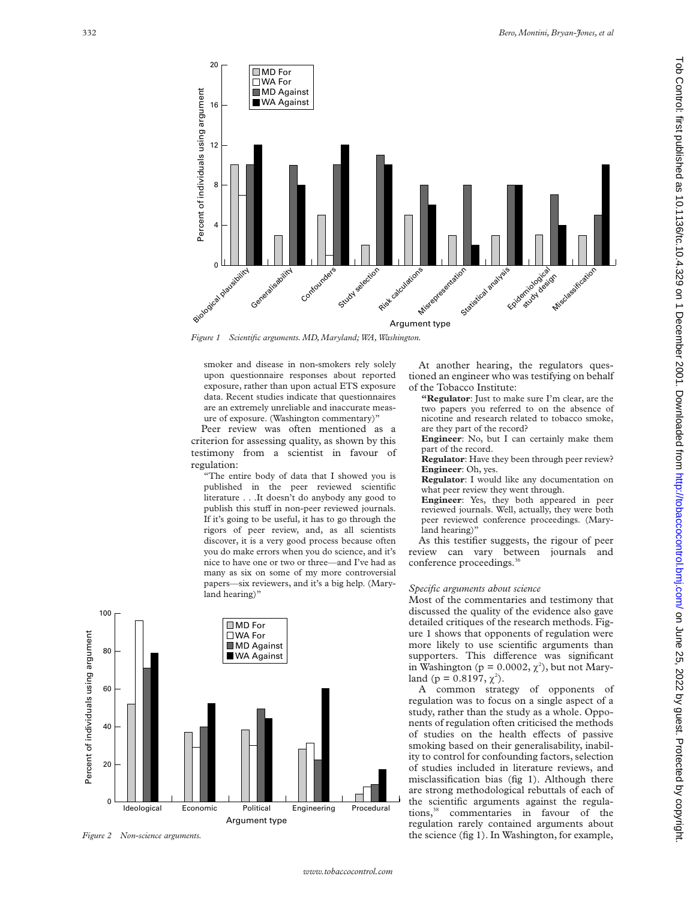

*Figure 1 Scientific arguments. MD, Maryland; WA, Washington.*

smoker and disease in non-smokers rely solely upon questionnaire responses about reported exposure, rather than upon actual ETS exposure data. Recent studies indicate that questionnaires are an extremely unreliable and inaccurate measure of exposure. (Washington commentary)"

Peer review was often mentioned as a criterion for assessing quality, as shown by this testimony from a scientist in favour of regulation:

"The entire body of data that I showed you is published in the peer reviewed scientific literature . . .It doesn't do anybody any good to publish this stuff in non-peer reviewed journals. If it's going to be useful, it has to go through the rigors of peer review, and, as all scientists discover, it is a very good process because often you do make errors when you do science, and it's nice to have one or two or three—and I've had as many as six on some of my more controversial papers—six reviewers, and it's a big help. (Maryland hearing)"



*Figure 2 Non-science arguments.*

At another hearing, the regulators questioned an engineer who was testifying on behalf of the Tobacco Institute:

- **"Regulator**: Just to make sure I'm clear, are the two papers you referred to on the absence of nicotine and research related to tobacco smoke, are they part of the record?
- **Engineer**: No, but I can certainly make them part of the record.
- **Regulator**: Have they been through peer review? **Engineer**: Oh, yes.
- **Regulator**: I would like any documentation on what peer review they went through.
- **Engineer**: Yes, they both appeared in peer reviewed journals. Well, actually, they were both peer reviewed conference proceedings. (Maryland hearing)"

As this testifier suggests, the rigour of peer review can vary between journals and conference proceedings.<sup>36</sup>

#### *Specific arguments about science*

Most of the commentaries and testimony that discussed the quality of the evidence also gave detailed critiques of the research methods. Figure 1 shows that opponents of regulation were more likely to use scientific arguments than supporters. This difference was significant in Washington ( $p = 0.0002$ ,  $\chi^2$ ), but not Maryland ( $p = 0.8197, \chi^2$ ).

A common strategy of opponents of regulation was to focus on a single aspect of a study, rather than the study as a whole. Opponents of regulation often criticised the methods of studies on the health effects of passive smoking based on their generalisability, inability to control for confounding factors, selection of studies included in literature reviews, and misclassification bias (fig 1). Although there are strong methodological rebuttals of each of the scientific arguments against the regulations,<sup>38</sup> commentaries in favour of the regulation rarely contained arguments about the science (fig 1). In Washington, for example,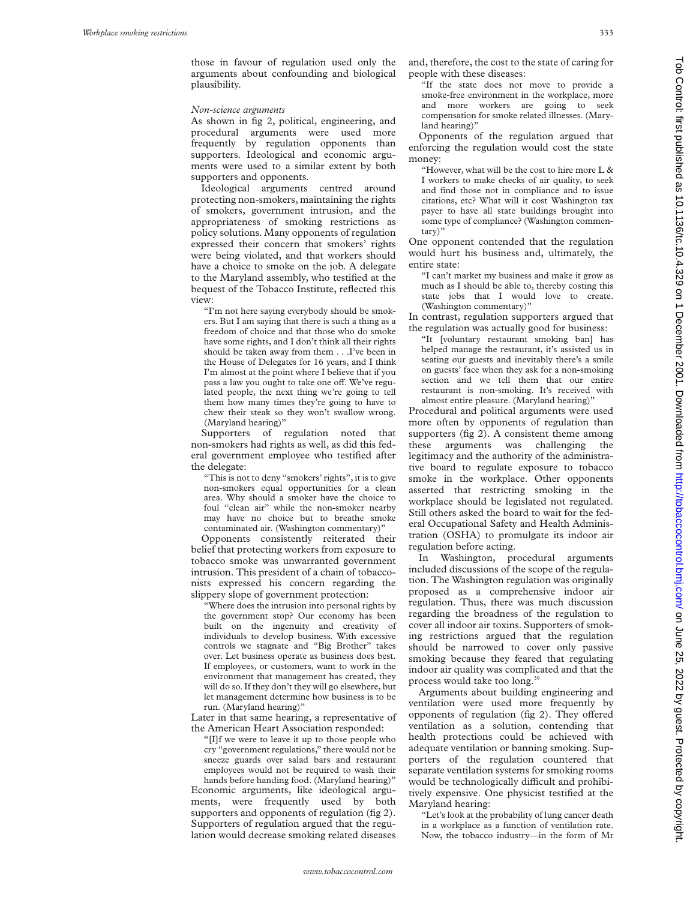those in favour of regulation used only the arguments about confounding and biological plausibility.

## *Non-science arguments*

As shown in fig 2, political, engineering, and procedural arguments were used more frequently by regulation opponents than supporters. Ideological and economic arguments were used to a similar extent by both supporters and opponents.

Ideological arguments centred around protecting non-smokers, maintaining the rights of smokers, government intrusion, and the appropriateness of smoking restrictions as policy solutions. Many opponents of regulation expressed their concern that smokers' rights were being violated, and that workers should have a choice to smoke on the job. A delegate to the Maryland assembly, who testified at the bequest of the Tobacco Institute, reflected this view:

"I'm not here saying everybody should be smokers. But I am saying that there is such a thing as a freedom of choice and that those who do smoke have some rights, and I don't think all their rights should be taken away from them . . .I've been in the House of Delegates for 16 years, and I think I'm almost at the point where I believe that if you pass a law you ought to take one off. We've regulated people, the next thing we're going to tell them how many times they're going to have to chew their steak so they won't swallow wrong. (Maryland hearing)"

Supporters of regulation noted that non-smokers had rights as well, as did this federal government employee who testified after the delegate:

"This is not to deny "smokers' rights", it is to give non-smokers equal opportunities for a clean area. Why should a smoker have the choice to foul "clean air" while the non-smoker nearby may have no choice but to breathe smoke contaminated air. (Washington commentary)"

Opponents consistently reiterated their belief that protecting workers from exposure to tobacco smoke was unwarranted government intrusion. This president of a chain of tobacconists expressed his concern regarding the slippery slope of government protection:

"Where does the intrusion into personal rights by the government stop? Our economy has been built on the ingenuity and creativity of individuals to develop business. With excessive controls we stagnate and "Big Brother" takes over. Let business operate as business does best. If employees, or customers, want to work in the environment that management has created, they will do so. If they don't they will go elsewhere, but let management determine how business is to be run. (Maryland hearing)"

Later in that same hearing, a representative of the American Heart Association responded:

"[I]f we were to leave it up to those people who cry "government regulations," there would not be sneeze guards over salad bars and restaurant employees would not be required to wash their

hands before handing food. (Maryland hearing)" Economic arguments, like ideological arguments, were frequently used by both supporters and opponents of regulation (fig 2). Supporters of regulation argued that the regulation would decrease smoking related diseases

and, therefore, the cost to the state of caring for people with these diseases:

"If the state does not move to provide a smoke-free environment in the workplace, more and more workers are going to seek compensation for smoke related illnesses. (Maryland hearing)"

Opponents of the regulation argued that enforcing the regulation would cost the state money:

"However, what will be the cost to hire more L & I workers to make checks of air quality, to seek and find those not in compliance and to issue citations, etc? What will it cost Washington tax payer to have all state buildings brought into some type of compliance? (Washington commentary)"

One opponent contended that the regulation would hurt his business and, ultimately, the entire state:

"I can't market my business and make it grow as much as I should be able to, thereby costing this state jobs that I would love to create. (Washington commentary)"

In contrast, regulation supporters argued that the regulation was actually good for business:

"It [voluntary restaurant smoking ban] has helped manage the restaurant, it's assisted us in seating our guests and inevitably there's a smile on guests' face when they ask for a non-smoking section and we tell them that our entire restaurant is non-smoking. It's received with almost entire pleasure. (Maryland hearing)"

Procedural and political arguments were used more often by opponents of regulation than supporters (fig 2). A consistent theme among these arguments was challenging the legitimacy and the authority of the administrative board to regulate exposure to tobacco smoke in the workplace. Other opponents asserted that restricting smoking in the workplace should be legislated not regulated. Still others asked the board to wait for the federal Occupational Safety and Health Administration (OSHA) to promulgate its indoor air regulation before acting.

In Washington, procedural arguments included discussions of the scope of the regulation. The Washington regulation was originally proposed as a comprehensive indoor air regulation. Thus, there was much discussion regarding the broadness of the regulation to cover all indoor air toxins. Supporters of smoking restrictions argued that the regulation should be narrowed to cover only passive smoking because they feared that regulating indoor air quality was complicated and that the process would take too long.<sup>39</sup>

Arguments about building engineering and ventilation were used more frequently by opponents of regulation (fig 2). They offered ventilation as a solution, contending that health protections could be achieved with adequate ventilation or banning smoking. Supporters of the regulation countered that separate ventilation systems for smoking rooms would be technologically difficult and prohibitively expensive. One physicist testified at the Maryland hearing:

"Let's look at the probability of lung cancer death in a workplace as a function of ventilation rate. Now, the tobacco industry—in the form of Mr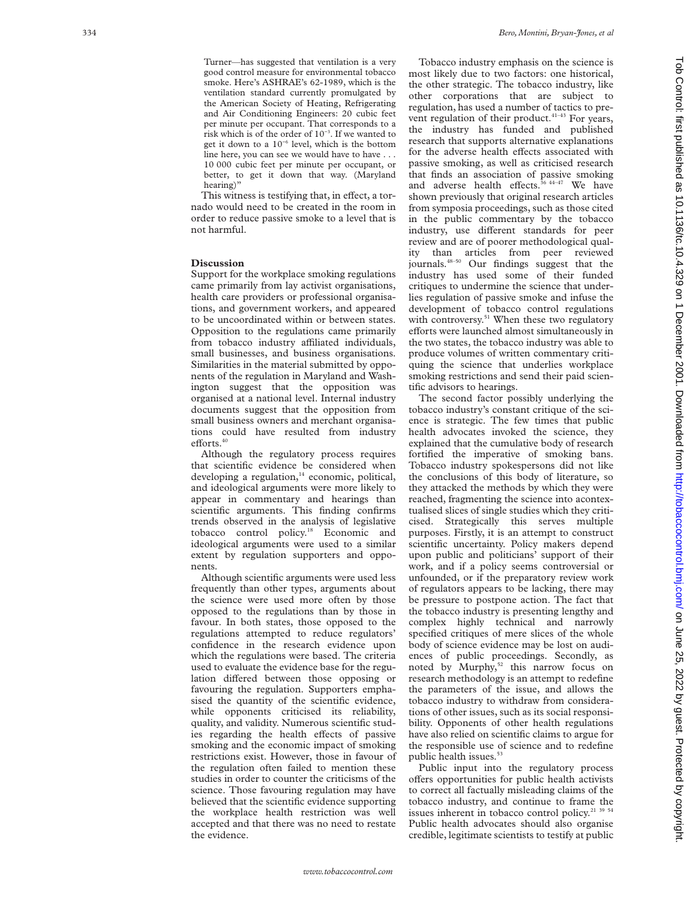Turner—has suggested that ventilation is a very good control measure for environmental tobacco smoke. Here's ASHRAE's 62-1989, which is the ventilation standard currently promulgated by the American Society of Heating, Refrigerating and Air Conditioning Engineers: 20 cubic feet per minute per occupant. That corresponds to a risk which is of the order of 10−3. If we wanted to get it down to a 10−6 level, which is the bottom line here, you can see we would have to have . . . 10 000 cubic feet per minute per occupant, or better, to get it down that way. (Maryland hearing)"

This witness is testifying that, in effect, a tornado would need to be created in the room in order to reduce passive smoke to a level that is not harmful.

# **Discussion**

Support for the workplace smoking regulations came primarily from lay activist organisations, health care providers or professional organisations, and government workers, and appeared to be uncoordinated within or between states. Opposition to the regulations came primarily from tobacco industry affiliated individuals, small businesses, and business organisations. Similarities in the material submitted by opponents of the regulation in Maryland and Washington suggest that the opposition was organised at a national level. Internal industry documents suggest that the opposition from small business owners and merchant organisations could have resulted from industry  $efforts.<sup>40</sup>$ 

Although the regulatory process requires that scientific evidence be considered when developing a regulation, $14$  economic, political, and ideological arguments were more likely to appear in commentary and hearings than scientific arguments. This finding confirms trends observed in the analysis of legislative tobacco control policy.18 Economic and ideological arguments were used to a similar extent by regulation supporters and opponents.

Although scientific arguments were used less frequently than other types, arguments about the science were used more often by those opposed to the regulations than by those in favour. In both states, those opposed to the regulations attempted to reduce regulators' confidence in the research evidence upon which the regulations were based. The criteria used to evaluate the evidence base for the regulation differed between those opposing or favouring the regulation. Supporters emphasised the quantity of the scientific evidence, while opponents criticised its reliability, quality, and validity. Numerous scientific studies regarding the health effects of passive smoking and the economic impact of smoking restrictions exist. However, those in favour of the regulation often failed to mention these studies in order to counter the criticisms of the science. Those favouring regulation may have believed that the scientific evidence supporting the workplace health restriction was well accepted and that there was no need to restate the evidence.

Tobacco industry emphasis on the science is most likely due to two factors: one historical, the other strategic. The tobacco industry, like other corporations that are subject to regulation, has used a number of tactics to prevent regulation of their product. $41-43$  For years, the industry has funded and published research that supports alternative explanations for the adverse health effects associated with passive smoking, as well as criticised research that finds an association of passive smoking and adverse health effects.<sup>36 44–47</sup> We have shown previously that original research articles from symposia proceedings, such as those cited in the public commentary by the tobacco industry, use different standards for peer review and are of poorer methodological quality than articles from peer reviewed journals.48–50 Our findings suggest that the industry has used some of their funded critiques to undermine the science that underlies regulation of passive smoke and infuse the development of tobacco control regulations with controversy.<sup>51</sup> When these two regulatory efforts were launched almost simultaneously in the two states, the tobacco industry was able to produce volumes of written commentary critiquing the science that underlies workplace smoking restrictions and send their paid scientific advisors to hearings.

The second factor possibly underlying the tobacco industry's constant critique of the science is strategic. The few times that public health advocates invoked the science, they explained that the cumulative body of research fortified the imperative of smoking bans. Tobacco industry spokespersons did not like the conclusions of this body of literature, so they attacked the methods by which they were reached, fragmenting the science into acontextualised slices of single studies which they criticised. Strategically this serves multiple purposes. Firstly, it is an attempt to construct scientific uncertainty. Policy makers depend upon public and politicians' support of their work, and if a policy seems controversial or unfounded, or if the preparatory review work of regulators appears to be lacking, there may be pressure to postpone action. The fact that the tobacco industry is presenting lengthy and complex highly technical and narrowly specified critiques of mere slices of the whole body of science evidence may be lost on audiences of public proceedings. Secondly, as noted by Murphy,<sup>52</sup> this narrow focus on research methodology is an attempt to redefine the parameters of the issue, and allows the tobacco industry to withdraw from considerations of other issues, such as its social responsibility. Opponents of other health regulations have also relied on scientific claims to argue for the responsible use of science and to redefine public health issues.<sup>53</sup>

Public input into the regulatory process offers opportunities for public health activists to correct all factually misleading claims of the tobacco industry, and continue to frame the issues inherent in tobacco control policy.<sup>21 39 54</sup> Public health advocates should also organise credible, legitimate scientists to testify at public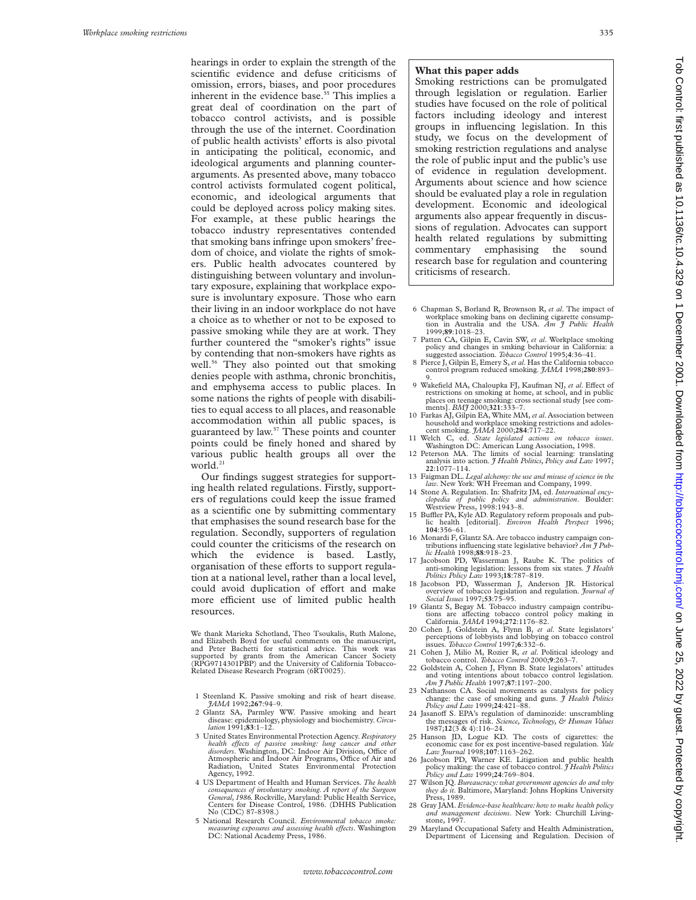hearings in order to explain the strength of the scientific evidence and defuse criticisms of omission, errors, biases, and poor procedures inherent in the evidence base.<sup>55</sup> This implies a great deal of coordination on the part of tobacco control activists, and is possible through the use of the internet. Coordination of public health activists' efforts is also pivotal in anticipating the political, economic, and ideological arguments and planning counterarguments. As presented above, many tobacco control activists formulated cogent political, economic, and ideological arguments that could be deployed across policy making sites. For example, at these public hearings the tobacco industry representatives contended that smoking bans infringe upon smokers' freedom of choice, and violate the rights of smokers. Public health advocates countered by distinguishing between voluntary and involuntary exposure, explaining that workplace exposure is involuntary exposure. Those who earn their living in an indoor workplace do not have a choice as to whether or not to be exposed to passive smoking while they are at work. They further countered the "smoker's rights" issue by contending that non-smokers have rights as well.<sup>56</sup> They also pointed out that smoking denies people with asthma, chronic bronchitis, and emphysema access to public places. In some nations the rights of people with disabilities to equal access to all places, and reasonable accommodation within all public spaces, is guaranteed by law.57 These points and counter points could be finely honed and shared by various public health groups all over the world. $21$ 

Our findings suggest strategies for supporting health related regulations. Firstly, supporters of regulations could keep the issue framed as a scientific one by submitting commentary that emphasises the sound research base for the regulation. Secondly, supporters of regulation could counter the criticisms of the research on which the evidence is based. Lastly, organisation of these efforts to support regulation at a national level, rather than a local level, could avoid duplication of effort and make more efficient use of limited public health resources.

We thank Marieka Schotland, Theo Tsoukalis, Ruth Malone, and Elizabeth Boyd for useful comments on the manuscript, and Peter Bachetti for statistical advice. This work was supported by grants from the American Cancer Society (RPG9714301PBP) and the University of California Tobacco-Related Disease Research Program (6RT0025).

- 1 Steenland K. Passive smoking and risk of heart disease. *JAMA* 1992;**267**:94–9.
- 2 Glantz SA, Parmley WW. Passive smoking and heart disease: epidemiology, physiology and biochemistry. *Circulation* 1991;**83**:1–12.
- 3 United States Environmental Protection Agency. *Respiratory health effects of passive smoking: lung cancer and other*<br>*disorders*. Washington, DC: Indoor Air Division, Office of Atmospheric and Indoor Air Programs, Office of Air and<br>Radiation, United States Environmental Protection United States Environmental Protection Agency, 1992.
- 4 US Department of Health and Human Services. *The health consequences of involuntary smoking. A report of the Surgeon General, 1986.* Rockville, Maryland: Public Health Service, Centers for Disease Control, 1986. (DHHS Publication No (CDC) 87-8398.)
- 5 National Research Council. *Environmental tobacco smoke: measuring exposures and assessing health eVects*. Washington DC: National Academy Press, 1986.

#### **What this paper adds**

Smoking restrictions can be promulgated through legislation or regulation. Earlier studies have focused on the role of political factors including ideology and interest groups in influencing legislation. In this study, we focus on the development of smoking restriction regulations and analyse the role of public input and the public's use of evidence in regulation development. Arguments about science and how science should be evaluated play a role in regulation development. Economic and ideological arguments also appear frequently in discussions of regulation. Advocates can support health related regulations by submitting commentary emphasising the sound research base for regulation and countering criticisms of research.

- 6 Chapman S, Borland R, Brownson R, *et al*. The impact of workplace smoking bans on declining cigarette consump-tion in Australia and the USA. *Am J Public Health* 1999;**89**:1018–23.
- 7 Patten CA, Gilpin E, Cavin SW, *et al*. Workplace smoking policy and changes in smking behaviour in California: a suggested association. *Tobacco Control* 1995;**4**:36–41.
- 8 Pierce J, Gilpin E, Emery S,*et al*. Has the California tobacco control program reduced smoking.  $JAMA$  1998;280:893-
- 9 Wakefield MA, Chaloupka FJ, Kaufman NJ, et al. Effect of restrictions on smoking at home, at school, and in public places on teenage smoking: cross sectional study [see com-ments]. *BMJ* 2000;**321**:333–7.
- 10 Farkas AJ, Gilpin EA, White MM,*et al*. Association between household and workplace smoking restrictions and adoles-
- cent smoking. *JAMA* 2000;**284**:717–22. 11 Welch C, ed. *State legislated actions on tobacco issues*.
- Washington DC: American Lung Association, 1998. 12 Peterson MA. The limits of social learning: translating analysis into action. *J Health Politics, Policy and Law* 1997; **22**:1077–114.
- 13 Faigman DL. *Legal alchemy:the use and misuse of science in the law*. New York: WH Freeman and Company, 1999.
- 14 Stone A. Regulation. In: Shafritz JM, ed. *International encyclopedia of public policy and administration*. Boulder: Westview Press, 1998:1943–8.
- 15 Buffler PA, Kyle AD. Regulatory reform proposals and public health [editorial]. *Environ Health Perspect* 1996; **<sup>104</sup>**:356–61.
- 16 Monardi F, Glantz SA. Are tobacco industry campaign contributions influencing state legislative behavior? *Am J Public Health* 1998;**88**:918–23.
- 17 Jacobson PD, Wasserman J, Raube K. The politics of anti-smoking legislation: lessons from six states. *J Health Politics Policy Law* 1993;**18**:787–819.
- 18 Jacobson PD, Wasserman J, Anderson JR. Historical overview of tobacco legislation and regulation. *Journal of Social Issues* 1997;**53**:75–95.
- 19 Glantz S, Begay M. Tobacco industry campaign contributions are affecting tobacco control policy making in<br>California. *JAMA* 1994;272:1176–82.
- 20 Cohen J, Goldstein A, Flynn B, *et al*. State legislators' perceptions of lobbyists and lobbying on tobacco control issues. *Tobacco Control* 1997;**6**:332–6.
- 21 Cohen J, Milio M, Rozier R, *et al*. Political ideology and tobacco control. *Tobacco Control* 2000;**9**:263–7.
- 22 Goldstein A, Cohen J, Flynn B. State legislators' attitudes and voting intentions about tobacco control legislation. *Am J Public Health* 1997;**87**:1197–200.
- 23 Nathanson CA. Social movements as catalysts for policy change: the case of smoking and guns. *J Health Politics Policy and Law* 1999;**24**:421–88.
- 24 Jasanoff S. EPA's regulation of daminozide: unscrambling<br>the messages of risk. *Science, Technology, & Human Values*<br>1987;**12**(3 & 4):116–24.
- $25$  Hanson JD, Logue KD. The costs of cigarettes: the economic case for ex post incentive-based regulation. *Yale*
- *Law Journal* 1998;**107**:1163–262. 26 Jacobson PD, Warner KE. Litigation and public health policy making: the case of tobacco control. *J Health Politics Policy and Law* 1999;**24**:769–804.
- 27 Wilson JQ. *Bureaucracy: what government agencies do and why they do it*. Baltimore, Maryland: Johns Hopkins University Press, 1989.
- 28 Gray JAM. *Evidence-base healthcare: how to make health policy and management decisions*. New York: Churchill Livingstone, 1997.
- 29 Maryland Occupational Safety and Health Administration, Department of Licensing and Regulation. Decision of